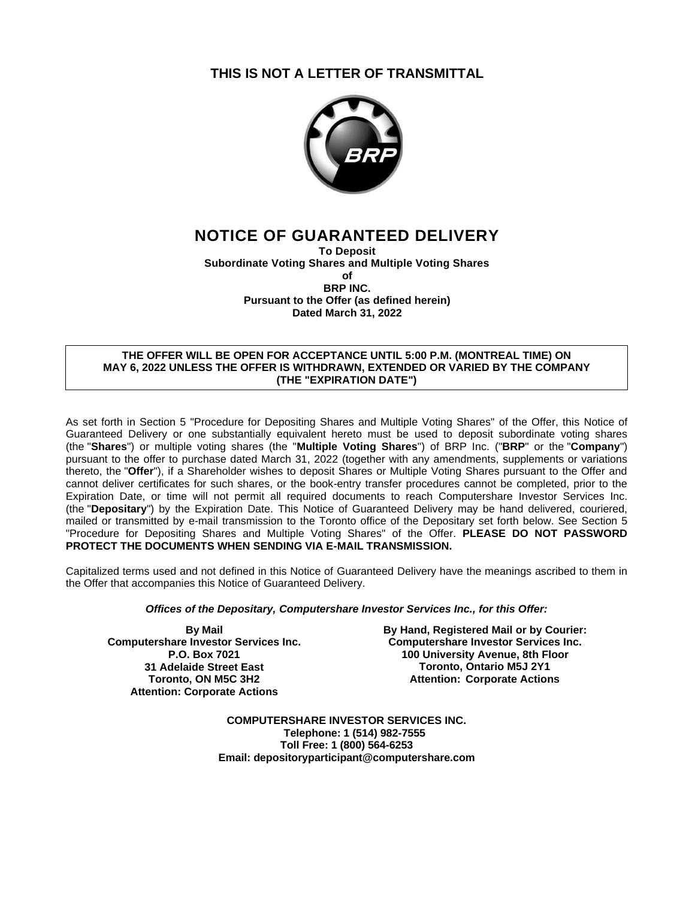## **THIS IS NOT A LETTER OF TRANSMITTAL**



# **NOTICE OF GUARANTEED DELIVERY**

**To Deposit Subordinate Voting Shares and Multiple Voting Shares of BRP INC. Pursuant to the Offer (as defined herein) Dated March 31, 2022**

#### **THE OFFER WILL BE OPEN FOR ACCEPTANCE UNTIL 5:00 P.M. (MONTREAL TIME) ON MAY 6, 2022 UNLESS THE OFFER IS WITHDRAWN, EXTENDED OR VARIED BY THE COMPANY (THE "EXPIRATION DATE")**

As set forth in Section 5 "Procedure for Depositing Shares and Multiple Voting Shares" of the Offer, this Notice of Guaranteed Delivery or one substantially equivalent hereto must be used to deposit subordinate voting shares (the "**Shares**") or multiple voting shares (the "**Multiple Voting Shares**") of BRP Inc. ("**BRP**" or the "**Company**") pursuant to the offer to purchase dated March 31, 2022 (together with any amendments, supplements or variations thereto, the "**Offer**"), if a Shareholder wishes to deposit Shares or Multiple Voting Shares pursuant to the Offer and cannot deliver certificates for such shares, or the book-entry transfer procedures cannot be completed, prior to the Expiration Date, or time will not permit all required documents to reach Computershare Investor Services Inc. (the "**Depositary**") by the Expiration Date. This Notice of Guaranteed Delivery may be hand delivered, couriered, mailed or transmitted by e-mail transmission to the Toronto office of the Depositary set forth below. See Section 5 "Procedure for Depositing Shares and Multiple Voting Shares" of the Offer. **PLEASE DO NOT PASSWORD PROTECT THE DOCUMENTS WHEN SENDING VIA E-MAIL TRANSMISSION.**

Capitalized terms used and not defined in this Notice of Guaranteed Delivery have the meanings ascribed to them in the Offer that accompanies this Notice of Guaranteed Delivery.

#### *Offices of the Depositary, Computershare Investor Services Inc., for this Offer:*

**By Mail Computershare Investor Services Inc. P.O. Box 7021 31 Adelaide Street East Toronto, ON M5C 3H2 Attention: Corporate Actions**

**By Hand, Registered Mail or by Courier: Computershare Investor Services Inc. 100 University Avenue, 8th Floor Toronto, Ontario M5J 2Y1 Attention: Corporate Actions**

**COMPUTERSHARE INVESTOR SERVICES INC. Telephone: 1 (514) 982-7555 Toll Free: 1 (800) 564-6253 Email: depositoryparticipant@computershare.com**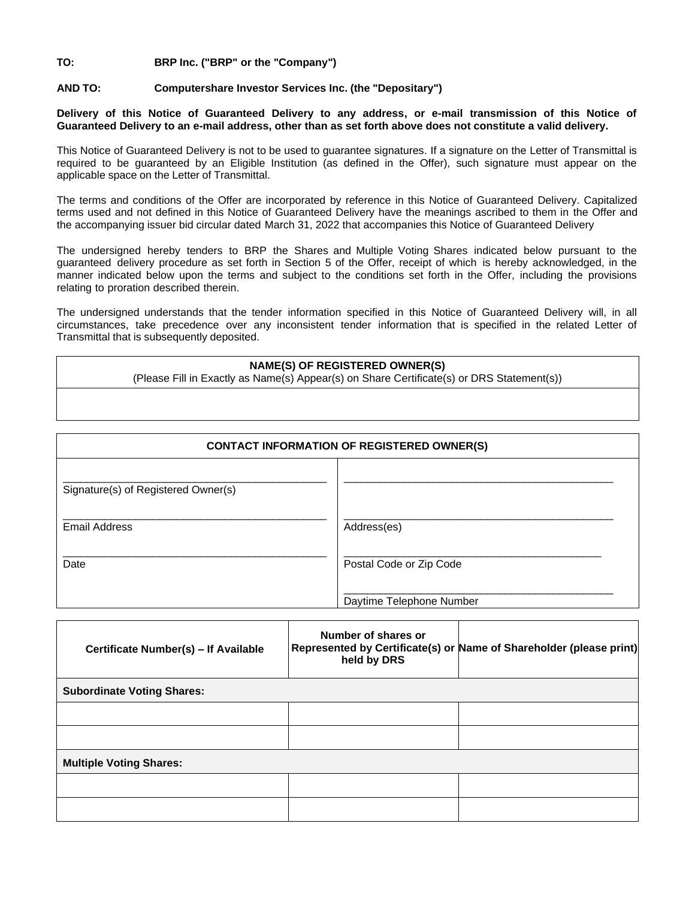### **TO: BRP Inc. ("BRP" or the "Company")**

#### **AND TO: Computershare Investor Services Inc. (the "Depositary")**

#### **Delivery of this Notice of Guaranteed Delivery to any address, or e-mail transmission of this Notice of Guaranteed Delivery to an e-mail address, other than as set forth above does not constitute a valid delivery.**

This Notice of Guaranteed Delivery is not to be used to guarantee signatures. If a signature on the Letter of Transmittal is required to be guaranteed by an Eligible Institution (as defined in the Offer), such signature must appear on the applicable space on the Letter of Transmittal.

The terms and conditions of the Offer are incorporated by reference in this Notice of Guaranteed Delivery. Capitalized terms used and not defined in this Notice of Guaranteed Delivery have the meanings ascribed to them in the Offer and the accompanying issuer bid circular dated March 31, 2022 that accompanies this Notice of Guaranteed Delivery

The undersigned hereby tenders to BRP the Shares and Multiple Voting Shares indicated below pursuant to the guaranteed delivery procedure as set forth in Section 5 of the Offer, receipt of which is hereby acknowledged, in the manner indicated below upon the terms and subject to the conditions set forth in the Offer, including the provisions relating to proration described therein.

The undersigned understands that the tender information specified in this Notice of Guaranteed Delivery will, in all circumstances, take precedence over any inconsistent tender information that is specified in the related Letter of Transmittal that is subsequently deposited.

#### **NAME(S) OF REGISTERED OWNER(S)**

(Please Fill in Exactly as Name(s) Appear(s) on Share Certificate(s) or DRS Statement(s))

| <b>CONTACT INFORMATION OF REGISTERED OWNER(S)</b> |                          |  |  |  |  |
|---------------------------------------------------|--------------------------|--|--|--|--|
| Signature(s) of Registered Owner(s)               |                          |  |  |  |  |
| <b>Email Address</b>                              | Address(es)              |  |  |  |  |
| Date                                              | Postal Code or Zip Code  |  |  |  |  |
|                                                   | Daytime Telephone Number |  |  |  |  |

| Certificate Number(s) - If Available | Number of shares or<br>held by DRS | Represented by Certificate(s) or Name of Shareholder (please print) |  |  |  |  |  |  |
|--------------------------------------|------------------------------------|---------------------------------------------------------------------|--|--|--|--|--|--|
| <b>Subordinate Voting Shares:</b>    |                                    |                                                                     |  |  |  |  |  |  |
|                                      |                                    |                                                                     |  |  |  |  |  |  |
|                                      |                                    |                                                                     |  |  |  |  |  |  |
| <b>Multiple Voting Shares:</b>       |                                    |                                                                     |  |  |  |  |  |  |
|                                      |                                    |                                                                     |  |  |  |  |  |  |
|                                      |                                    |                                                                     |  |  |  |  |  |  |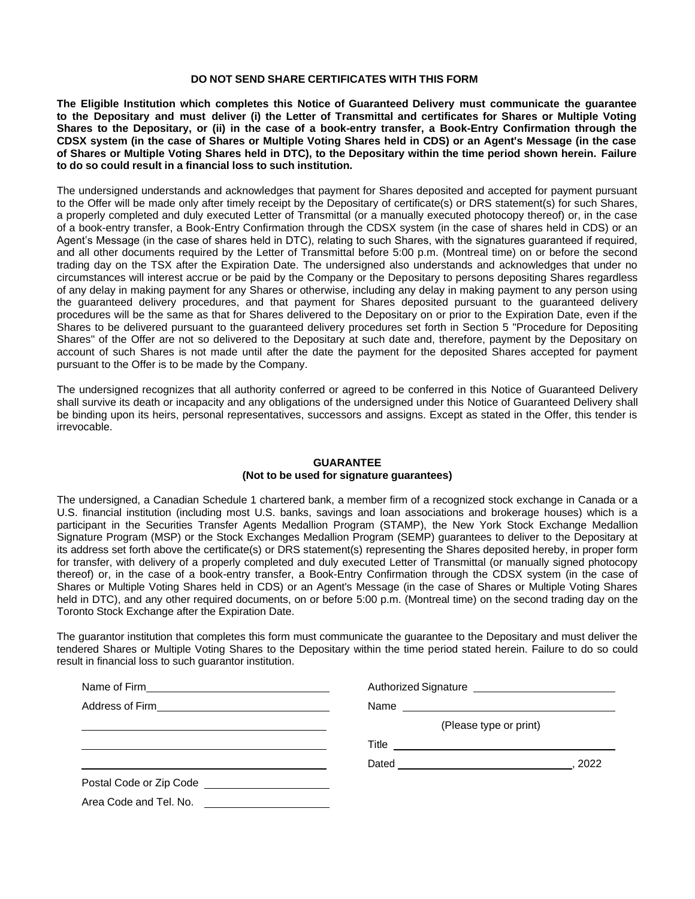#### **DO NOT SEND SHARE CERTIFICATES WITH THIS FORM**

**The Eligible Institution which completes this Notice of Guaranteed Delivery must communicate the guarantee to the Depositary and must deliver (i) the Letter of Transmittal and certificates for Shares or Multiple Voting Shares to the Depositary, or (ii) in the case of a book-entry transfer, a Book-Entry Confirmation through the CDSX system (in the case of Shares or Multiple Voting Shares held in CDS) or an Agent's Message (in the case of Shares or Multiple Voting Shares held in DTC), to the Depositary within the time period shown herein. Failure to do so could result in a financial loss to such institution.**

The undersigned understands and acknowledges that payment for Shares deposited and accepted for payment pursuant to the Offer will be made only after timely receipt by the Depositary of certificate(s) or DRS statement(s) for such Shares, a properly completed and duly executed Letter of Transmittal (or a manually executed photocopy thereof) or, in the case of a book-entry transfer, a Book-Entry Confirmation through the CDSX system (in the case of shares held in CDS) or an Agent's Message (in the case of shares held in DTC), relating to such Shares, with the signatures guaranteed if required, and all other documents required by the Letter of Transmittal before 5:00 p.m. (Montreal time) on or before the second trading day on the TSX after the Expiration Date. The undersigned also understands and acknowledges that under no circumstances will interest accrue or be paid by the Company or the Depositary to persons depositing Shares regardless of any delay in making payment for any Shares or otherwise, including any delay in making payment to any person using the guaranteed delivery procedures, and that payment for Shares deposited pursuant to the guaranteed delivery procedures will be the same as that for Shares delivered to the Depositary on or prior to the Expiration Date, even if the Shares to be delivered pursuant to the guaranteed delivery procedures set forth in Section 5 "Procedure for Depositing Shares" of the Offer are not so delivered to the Depositary at such date and, therefore, payment by the Depositary on account of such Shares is not made until after the date the payment for the deposited Shares accepted for payment pursuant to the Offer is to be made by the Company.

The undersigned recognizes that all authority conferred or agreed to be conferred in this Notice of Guaranteed Delivery shall survive its death or incapacity and any obligations of the undersigned under this Notice of Guaranteed Delivery shall be binding upon its heirs, personal representatives, successors and assigns. Except as stated in the Offer, this tender is irrevocable.

#### **GUARANTEE (Not to be used for signature guarantees)**

The undersigned, a Canadian Schedule 1 chartered bank, a member firm of a recognized stock exchange in Canada or a U.S. financial institution (including most U.S. banks, savings and loan associations and brokerage houses) which is a participant in the Securities Transfer Agents Medallion Program (STAMP), the New York Stock Exchange Medallion Signature Program (MSP) or the Stock Exchanges Medallion Program (SEMP) guarantees to deliver to the Depositary at its address set forth above the certificate(s) or DRS statement(s) representing the Shares deposited hereby, in proper form for transfer, with delivery of a properly completed and duly executed Letter of Transmittal (or manually signed photocopy thereof) or, in the case of a book-entry transfer, a Book-Entry Confirmation through the CDSX system (in the case of Shares or Multiple Voting Shares held in CDS) or an Agent's Message (in the case of Shares or Multiple Voting Shares held in DTC), and any other required documents, on or before 5:00 p.m. (Montreal time) on the second trading day on the Toronto Stock Exchange after the Expiration Date.

The guarantor institution that completes this form must communicate the guarantee to the Depositary and must deliver the tendered Shares or Multiple Voting Shares to the Depositary within the time period stated herein. Failure to do so could result in financial loss to such guarantor institution.

| Address of Firm _______________________________                                                                                                                                                                                |                                             |                        |
|--------------------------------------------------------------------------------------------------------------------------------------------------------------------------------------------------------------------------------|---------------------------------------------|------------------------|
|                                                                                                                                                                                                                                |                                             | (Please type or print) |
|                                                                                                                                                                                                                                | Title <u>______________________________</u> |                        |
|                                                                                                                                                                                                                                |                                             | .2022                  |
| Postal Code or Zip Code expansion of the state of the state of the state of the state of the state of the state of the state of the state of the state of the state of the state of the state of the state of the state of the |                                             |                        |
| Area Code and Tel. No.<br><u> 1989 - Andrea State Barbara, pre</u>                                                                                                                                                             |                                             |                        |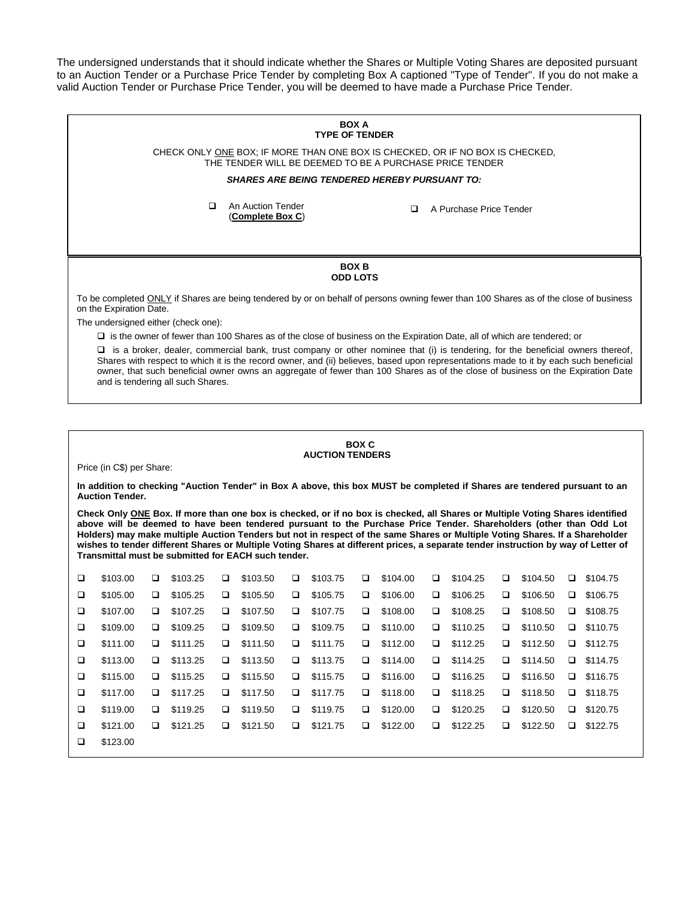The undersigned understands that it should indicate whether the Shares or Multiple Voting Shares are deposited pursuant to an Auction Tender or a Purchase Price Tender by completing Box A captioned "Type of Tender". If you do not make a valid Auction Tender or Purchase Price Tender, you will be deemed to have made a Purchase Price Tender.

## **BOX A TYPE OF TENDER** CHECK ONLY ONE BOX; IF MORE THAN ONE BOX IS CHECKED, OR IF NO BOX IS CHECKED, THE TENDER WILL BE DEEMED TO BE A PURCHASE PRICE TENDER *SHARES ARE BEING TENDERED HEREBY PURSUANT TO:* ❑ An Auction Tender (**Complete Box C**) ❑ A Purchase Price Tender **BOX B ODD LOTS** To be completed ONLY if Shares are being tendered by or on behalf of persons owning fewer than 100 Shares as of the close of business on the Expiration Date. The undersigned either (check one): ❑ is the owner of fewer than 100 Shares as of the close of business on the Expiration Date, all of which are tendered; or ❑ is a broker, dealer, commercial bank, trust company or other nominee that (i) is tendering, for the beneficial owners thereof, Shares with respect to which it is the record owner, and (ii) believes, based upon representations made to it by each such beneficial owner, that such beneficial owner owns an aggregate of fewer than 100 Shares as of the close of business on the Expiration Date and is tendering all such Shares.

#### **BOX C AUCTION TENDERS**

Price (in C\$) per Share:

**In addition to checking "Auction Tender" in Box A above, this box MUST be completed if Shares are tendered pursuant to an Auction Tender.**

**Check Only ONE Box. If more than one box is checked, or if no box is checked, all Shares or Multiple Voting Shares identified above will be deemed to have been tendered pursuant to the Purchase Price Tender. Shareholders (other than Odd Lot Holders) may make multiple Auction Tenders but not in respect of the same Shares or Multiple Voting Shares. If a Shareholder wishes to tender different Shares or Multiple Voting Shares at different prices, a separate tender instruction by way of Letter of Transmittal must be submitted for EACH such tender.**

| □ | \$103.00 | □ | \$103.25 | □      | \$103.50 | o | \$103.75 | □ | \$104.00 | □ | \$104.25 | o | \$104.50 | $\Box$ | \$104.75 |
|---|----------|---|----------|--------|----------|---|----------|---|----------|---|----------|---|----------|--------|----------|
| □ | \$105.00 | □ | \$105.25 | □      | \$105.50 | □ | \$105.75 | ❏ | \$106.00 | □ | \$106.25 | o | \$106.50 | $\Box$ | \$106.75 |
| □ | \$107.00 | □ | \$107.25 | $\Box$ | \$107.50 | ▫ | \$107.75 | □ | \$108.00 | □ | \$108.25 | □ | \$108.50 | $\Box$ | \$108.75 |
| □ | \$109.00 | □ | \$109.25 | □      | \$109.50 | o | \$109.75 | ❏ | \$110.00 | □ | \$110.25 | □ | \$110.50 | $\Box$ | \$110.75 |
| □ | \$111.00 | □ | \$111.25 | □      | \$111.50 | □ | \$111.75 | □ | \$112.00 | ❏ | \$112.25 | o | \$112.50 | $\Box$ | \$112.75 |
| □ | \$113.00 | □ | \$113.25 | $\Box$ | \$113.50 | □ | \$113.75 | □ | \$114.00 | □ | \$114.25 | □ | \$114.50 | $\Box$ | \$114.75 |
| □ | \$115.00 | ▫ | \$115.25 | □      | \$115.50 | □ | \$115.75 | ❏ | \$116.00 | ❏ | \$116.25 | □ | \$116.50 | $\Box$ | \$116.75 |
| □ | \$117.00 | □ | \$117.25 | □      | \$117.50 | □ | \$117.75 | ❏ | \$118.00 | ❏ | \$118.25 | □ | \$118.50 | $\Box$ | \$118.75 |
| □ | \$119.00 | □ | \$119.25 | $\Box$ | \$119.50 | □ | \$119.75 | ❏ | \$120.00 | □ | \$120.25 | □ | \$120.50 | $\Box$ | \$120.75 |
| □ | \$121.00 | □ | \$121.25 | □      | \$121.50 | □ | \$121.75 | □ | \$122.00 | ❏ | \$122.25 | □ | \$122.50 | □      | \$122.75 |
| □ | \$123.00 |   |          |        |          |   |          |   |          |   |          |   |          |        |          |